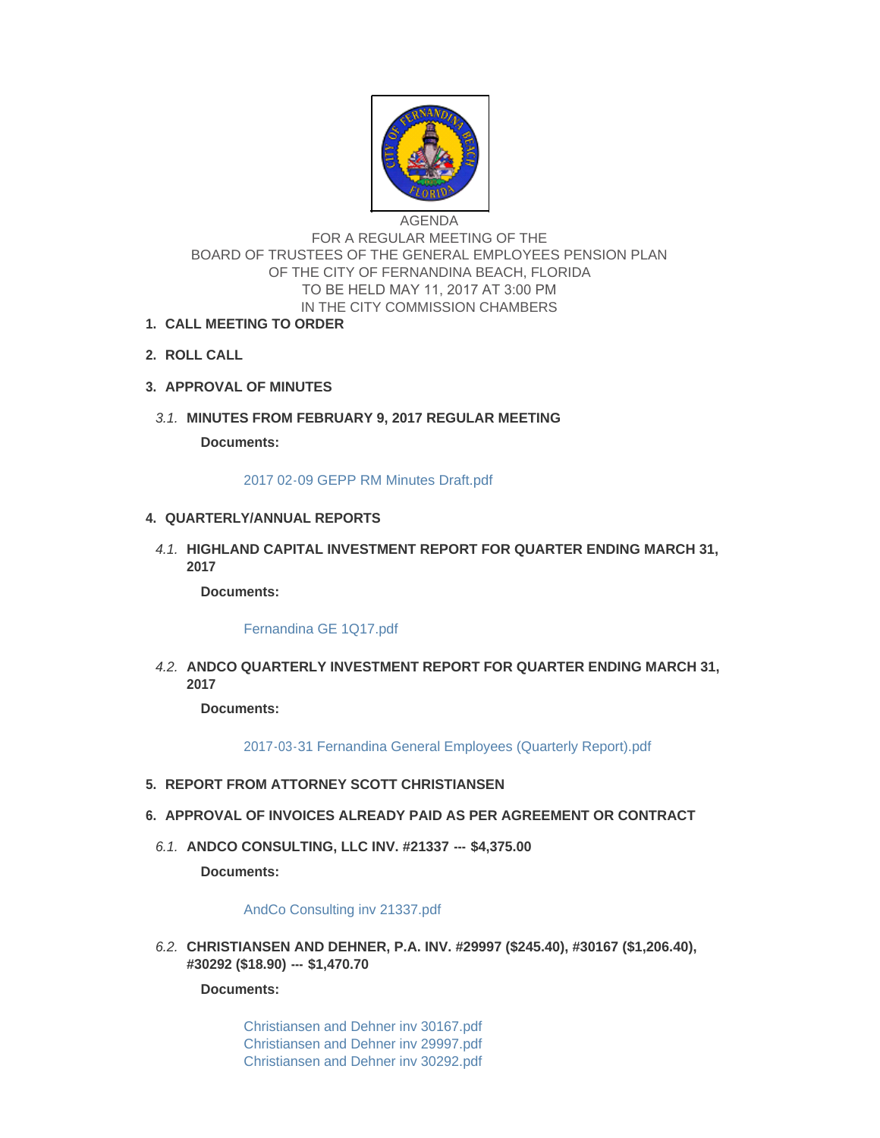

AGENDA FOR A REGULAR MEETING OF THE BOARD OF TRUSTEES OF THE GENERAL EMPLOYEES PENSION PLAN OF THE CITY OF FERNANDINA BEACH, FLORIDA TO BE HELD MAY 11, 2017 AT 3:00 PM IN THE CITY COMMISSION CHAMBERS

- **CALL MEETING TO ORDER 1.**
- **ROLL CALL 2.**
- **APPROVAL OF MINUTES 3.**
- **MINUTES FROM FEBRUARY 9, 2017 REGULAR MEETING** *3.1.*

**Documents:**

[2017 02-09 GEPP RM Minutes Draft.pdf](http://www.fbfl.us/AgendaCenter/ViewFile/Item/7852?fileID=5121)

## **QUARTERLY/ANNUAL REPORTS 4.**

**HIGHLAND CAPITAL INVESTMENT REPORT FOR QUARTER ENDING MARCH 31,**  *4.1.* **2017**

**Documents:**

[Fernandina GE 1Q17.pdf](http://www.fbfl.us/AgendaCenter/ViewFile/Item/7840?fileID=5116)

**ANDCO QUARTERLY INVESTMENT REPORT FOR QUARTER ENDING MARCH 31,**  *4.2.* **2017**

**Documents:**

[2017-03-31 Fernandina General Employees \(Quarterly Report\).pdf](http://www.fbfl.us/AgendaCenter/ViewFile/Item/7841?fileID=5109)

- **REPORT FROM ATTORNEY SCOTT CHRISTIANSEN 5.**
- **APPROVAL OF INVOICES ALREADY PAID AS PER AGREEMENT OR CONTRACT 6.**
	- **ANDCO CONSULTING, LLC INV. #21337 --- \$4,375.00** *6.1.*

**Documents:**

## [AndCo Consulting inv 21337.pdf](http://www.fbfl.us/AgendaCenter/ViewFile/Item/7842?fileID=5097)

**CHRISTIANSEN AND DEHNER, P.A. INV. #29997 (\$245.40), #30167 (\$1,206.40),**  *6.2.* **#30292 (\$18.90) --- \$1,470.70**

**Documents:**

[Christiansen and Dehner inv 30167.pdf](http://www.fbfl.us/AgendaCenter/ViewFile/Item/7843?fileID=5120) [Christiansen and Dehner inv 29997.pdf](http://www.fbfl.us/AgendaCenter/ViewFile/Item/7843?fileID=5099) [Christiansen and Dehner inv 30292.pdf](http://www.fbfl.us/AgendaCenter/ViewFile/Item/7843?fileID=5100)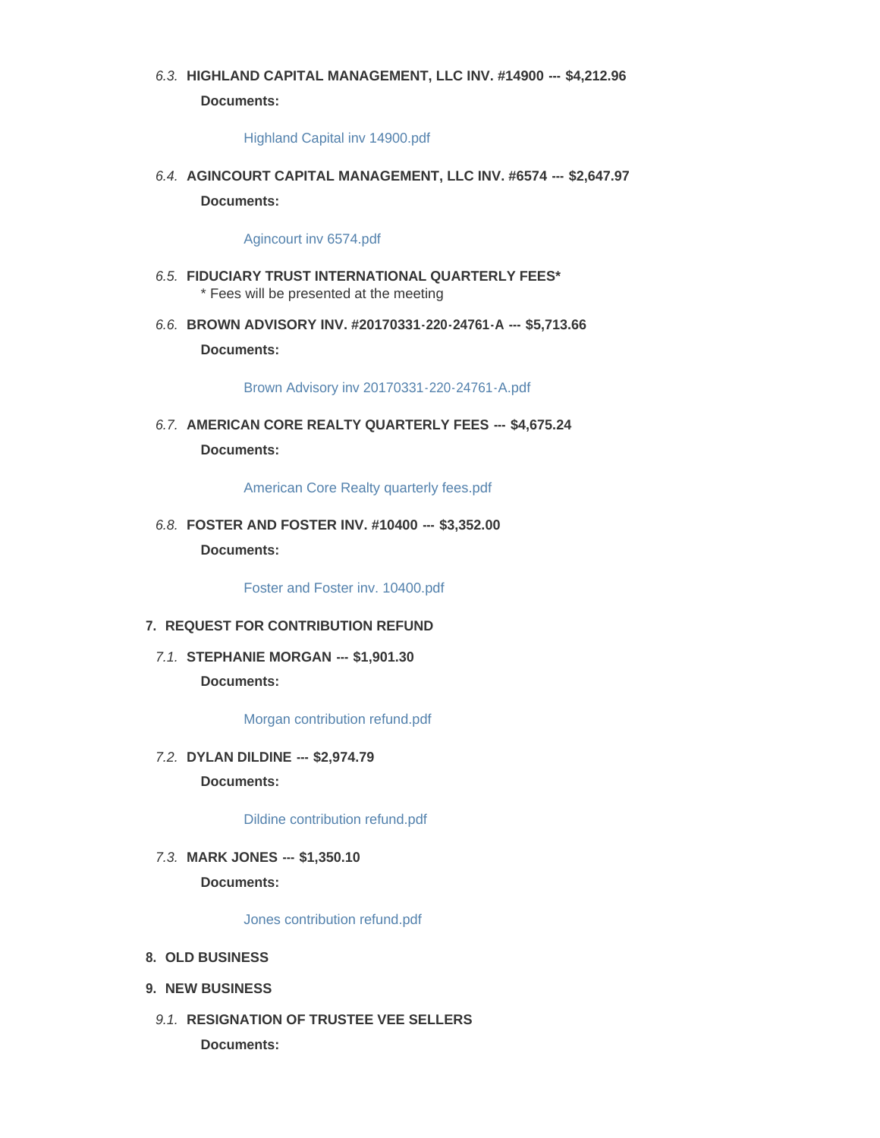# **HIGHLAND CAPITAL MANAGEMENT, LLC INV. #14900 --- \$4,212.96** *6.3.*

**Documents:**

#### [Highland Capital inv 14900.pdf](http://www.fbfl.us/AgendaCenter/ViewFile/Item/7844?fileID=5101)

**AGINCOURT CAPITAL MANAGEMENT, LLC INV. #6574 --- \$2,647.97** *6.4.* **Documents:**

#### [Agincourt inv 6574.pdf](http://www.fbfl.us/AgendaCenter/ViewFile/Item/7845?fileID=5102)

- **FIDUCIARY TRUST INTERNATIONAL QUARTERLY FEES\*** *6.5.* \* Fees will be presented at the meeting
- **BROWN ADVISORY INV. #20170331-220-24761-A --- \$5,713.66** *6.6.* **Documents:**

[Brown Advisory inv 20170331-220-24761-A.pdf](http://www.fbfl.us/AgendaCenter/ViewFile/Item/7846?fileID=5103)

**AMERICAN CORE REALTY QUARTERLY FEES --- \$4,675.24** *6.7.* **Documents:**

[American Core Realty quarterly fees.pdf](http://www.fbfl.us/AgendaCenter/ViewFile/Item/7847?fileID=5104)

**FOSTER AND FOSTER INV. #10400 --- \$3,352.00** *6.8.* **Documents:**

[Foster and Foster inv. 10400.pdf](http://www.fbfl.us/AgendaCenter/ViewFile/Item/7854?fileID=5117)

## **REQUEST FOR CONTRIBUTION REFUND 7.**

**STEPHANIE MORGAN --- \$1,901.30** *7.1.* **Documents:**

[Morgan contribution refund.pdf](http://www.fbfl.us/AgendaCenter/ViewFile/Item/7848?fileID=5105)

**DYLAN DILDINE --- \$2,974.79** *7.2.* **Documents:**

[Dildine contribution refund.pdf](http://www.fbfl.us/AgendaCenter/ViewFile/Item/7849?fileID=5106)

**MARK JONES --- \$1,350.10** *7.3.* **Documents:**

[Jones contribution refund.pdf](http://www.fbfl.us/AgendaCenter/ViewFile/Item/7850?fileID=5107)

- **OLD BUSINESS 8.**
- **NEW BUSINESS 9.**
- 9.1. RESIGNATION OF TRUSTEE VEE SELLERS **Documents:**